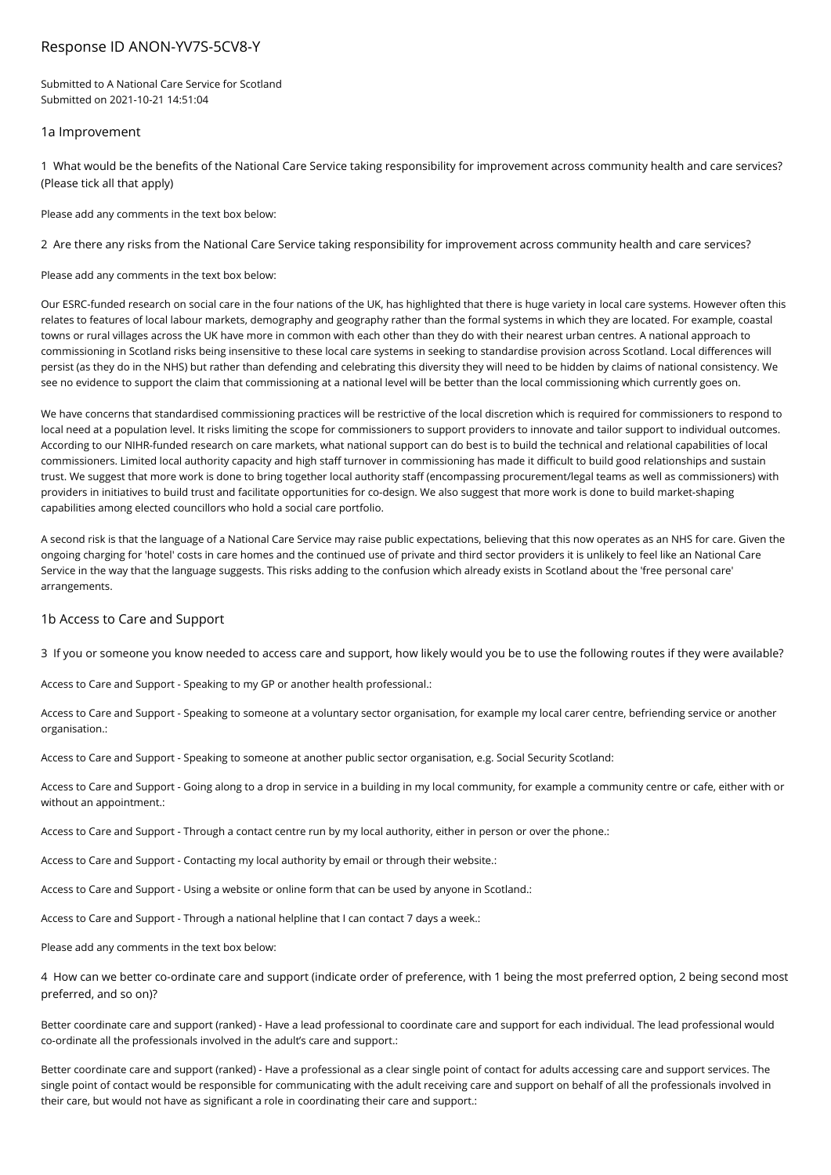# Response ID ANON-YV7S-5CV8-Y

Submitted to A National Care Service for Scotland Submitted on 2021-10-21 14:51:04

### 1a Improvement

1 What would be the benefits of the National Care Service taking responsibility for improvement across community health and care services? (Please tick all that apply)

Please add any comments in the text box below:

2 Are there any risks from the National Care Service taking responsibility for improvement across community health and care services?

Please add any comments in the text box below:

Our ESRC-funded research on social care in the four nations of the UK, has highlighted that there is huge variety in local care systems. However often this relates to features of local labour markets, demography and geography rather than the formal systems in which they are located. For example, coastal towns or rural villages across the UK have more in common with each other than they do with their nearest urban centres. A national approach to commissioning in Scotland risks being insensitive to these local care systems in seeking to standardise provision across Scotland. Local differences will persist (as they do in the NHS) but rather than defending and celebrating this diversity they will need to be hidden by claims of national consistency. We see no evidence to support the claim that commissioning at a national level will be better than the local commissioning which currently goes on.

We have concerns that standardised commissioning practices will be restrictive of the local discretion which is required for commissioners to respond to local need at a population level. It risks limiting the scope for commissioners to support providers to innovate and tailor support to individual outcomes. According to our NIHR-funded research on care markets, what national support can do best is to build the technical and relational capabilities of local commissioners. Limited local authority capacity and high staff turnover in commissioning has made it difficult to build good relationships and sustain trust. We suggest that more work is done to bring together local authority staff (encompassing procurement/legal teams as well as commissioners) with providers in initiatives to build trust and facilitate opportunities for co-design. We also suggest that more work is done to build market-shaping capabilities among elected councillors who hold a social care portfolio.

A second risk is that the language of a National Care Service may raise public expectations, believing that this now operates as an NHS for care. Given the ongoing charging for 'hotel' costs in care homes and the continued use of private and third sector providers it is unlikely to feel like an National Care Service in the way that the language suggests. This risks adding to the confusion which already exists in Scotland about the 'free personal care' arrangements.

### 1b Access to Care and Support

3 If you or someone you know needed to access care and support, how likely would you be to use the following routes if they were available?

Access to Care and Support - Speaking to my GP or another health professional.:

Access to Care and Support - Speaking to someone at a voluntary sector organisation, for example my local carer centre, befriending service or another organisation.:

Access to Care and Support - Speaking to someone at another public sector organisation, e.g. Social Security Scotland:

Access to Care and Support - Going along to a drop in service in a building in my local community, for example a community centre or cafe, either with or without an appointment.:

Access to Care and Support - Through a contact centre run by my local authority, either in person or over the phone.:

Access to Care and Support - Contacting my local authority by email or through their website.:

Access to Care and Support - Using a website or online form that can be used by anyone in Scotland.:

Access to Care and Support - Through a national helpline that I can contact 7 days a week.:

Please add any comments in the text box below:

4 How can we better co-ordinate care and support (indicate order of preference, with 1 being the most preferred option, 2 being second most preferred, and so on)?

Better coordinate care and support (ranked) - Have a lead professional to coordinate care and support for each individual. The lead professional would co-ordinate all the professionals involved in the adult's care and support.:

Better coordinate care and support (ranked) - Have a professional as a clear single point of contact for adults accessing care and support services. The single point of contact would be responsible for communicating with the adult receiving care and support on behalf of all the professionals involved in their care, but would not have as significant a role in coordinating their care and support.: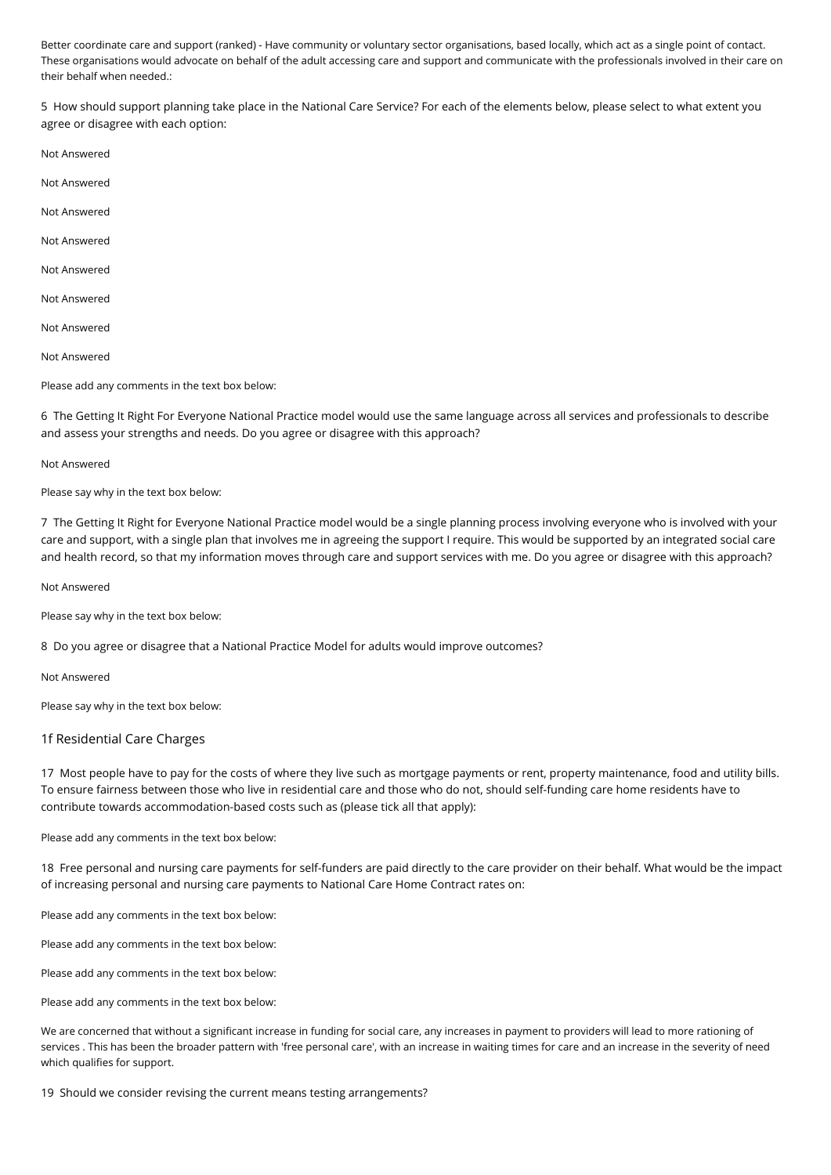Better coordinate care and support (ranked) - Have community or voluntary sector organisations, based locally, which act as a single point of contact. These organisations would advocate on behalf of the adult accessing care and support and communicate with the professionals involved in their care on their behalf when needed.:

5 How should support planning take place in the National Care Service? For each of the elements below, please select to what extent you agree or disagree with each option:

- Not Answered
- Not Answered
- Not Answered
- Not Answered
- Not Answered
- Not Answered
- Not Answered
- Not Answered
- Please add any comments in the text box below:

6 The Getting It Right For Everyone National Practice model would use the same language across all services and professionals to describe and assess your strengths and needs. Do you agree or disagree with this approach?

#### Not Answered

Please say why in the text box below:

7 The Getting It Right for Everyone National Practice model would be a single planning process involving everyone who is involved with your care and support, with a single plan that involves me in agreeing the support I require. This would be supported by an integrated social care and health record, so that my information moves through care and support services with me. Do you agree or disagree with this approach?

Not Answered

Please say why in the text box below:

8 Do you agree or disagree that a National Practice Model for adults would improve outcomes?

Not Answered

Please say why in the text box below:

### 1f Residential Care Charges

17 Most people have to pay for the costs of where they live such as mortgage payments or rent, property maintenance, food and utility bills. To ensure fairness between those who live in residential care and those who do not, should self-funding care home residents have to contribute towards accommodation-based costs such as (please tick all that apply):

Please add any comments in the text box below:

18 Free personal and nursing care payments for self-funders are paid directly to the care provider on their behalf. What would be the impact of increasing personal and nursing care payments to National Care Home Contract rates on:

Please add any comments in the text box below:

Please add any comments in the text box below:

Please add any comments in the text box below:

Please add any comments in the text box below:

We are concerned that without a significant increase in funding for social care, any increases in payment to providers will lead to more rationing of services . This has been the broader pattern with 'free personal care', with an increase in waiting times for care and an increase in the severity of need which qualifies for support.

19 Should we consider revising the current means testing arrangements?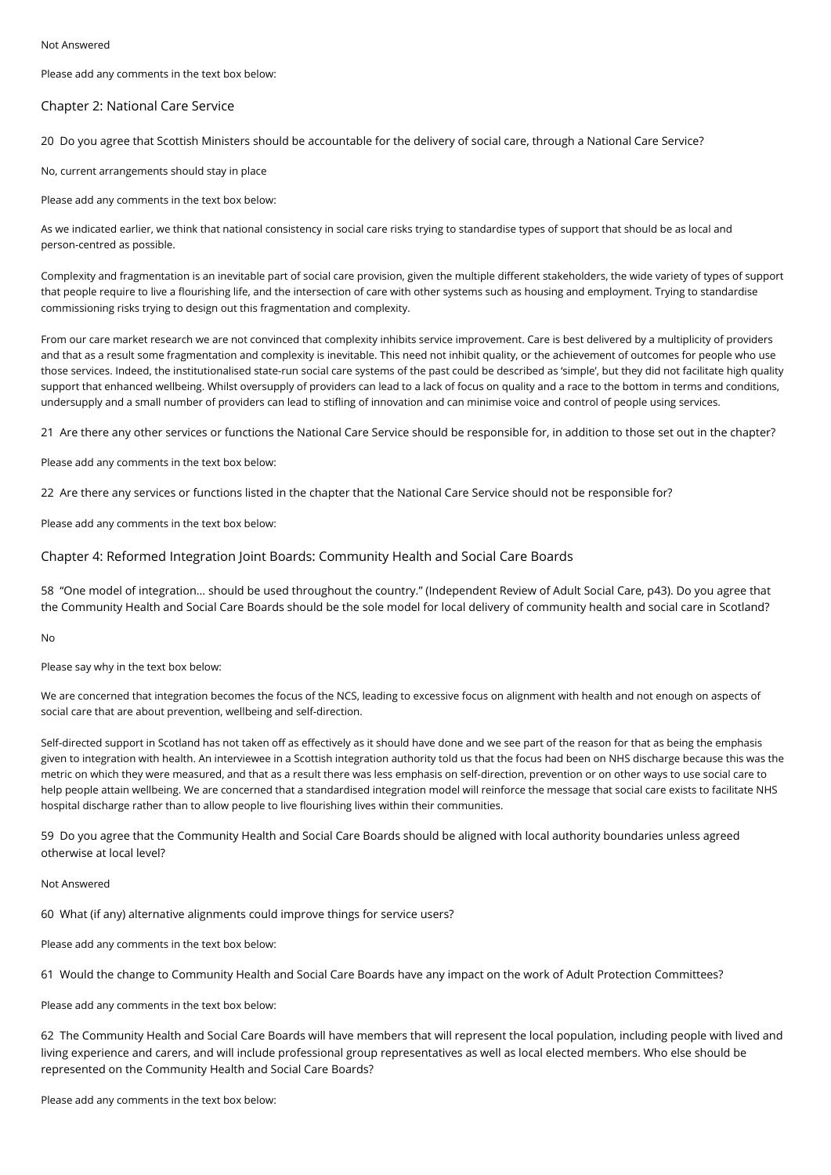Please add any comments in the text box below:

#### Chapter 2: National Care Service

20 Do you agree that Scottish Ministers should be accountable for the delivery of social care, through a National Care Service?

No, current arrangements should stay in place

Please add any comments in the text box below:

As we indicated earlier, we think that national consistency in social care risks trying to standardise types of support that should be as local and person-centred as possible.

Complexity and fragmentation is an inevitable part of social care provision, given the multiple different stakeholders, the wide variety of types of support that people require to live a flourishing life, and the intersection of care with other systems such as housing and employment. Trying to standardise commissioning risks trying to design out this fragmentation and complexity.

From our care market research we are not convinced that complexity inhibits service improvement. Care is best delivered by a multiplicity of providers and that as a result some fragmentation and complexity is inevitable. This need not inhibit quality, or the achievement of outcomes for people who use those services. Indeed, the institutionalised state-run social care systems of the past could be described as 'simple', but they did not facilitate high quality support that enhanced wellbeing. Whilst oversupply of providers can lead to a lack of focus on quality and a race to the bottom in terms and conditions, undersupply and a small number of providers can lead to stifling of innovation and can minimise voice and control of people using services.

21 Are there any other services or functions the National Care Service should be responsible for, in addition to those set out in the chapter?

Please add any comments in the text box below:

22 Are there any services or functions listed in the chapter that the National Care Service should not be responsible for?

Please add any comments in the text box below:

### Chapter 4: Reformed Integration Joint Boards: Community Health and Social Care Boards

58 "One model of integration… should be used throughout the country." (Independent Review of Adult Social Care, p43). Do you agree that the Community Health and Social Care Boards should be the sole model for local delivery of community health and social care in Scotland?

No

Please say why in the text box below:

We are concerned that integration becomes the focus of the NCS, leading to excessive focus on alignment with health and not enough on aspects of social care that are about prevention, wellbeing and self-direction.

Self-directed support in Scotland has not taken off as effectively as it should have done and we see part of the reason for that as being the emphasis given to integration with health. An interviewee in a Scottish integration authority told us that the focus had been on NHS discharge because this was the metric on which they were measured, and that as a result there was less emphasis on self-direction, prevention or on other ways to use social care to help people attain wellbeing. We are concerned that a standardised integration model will reinforce the message that social care exists to facilitate NHS hospital discharge rather than to allow people to live flourishing lives within their communities.

59 Do you agree that the Community Health and Social Care Boards should be aligned with local authority boundaries unless agreed otherwise at local level?

Not Answered

60 What (if any) alternative alignments could improve things for service users?

Please add any comments in the text box below:

61 Would the change to Community Health and Social Care Boards have any impact on the work of Adult Protection Committees?

Please add any comments in the text box below:

62 The Community Health and Social Care Boards will have members that will represent the local population, including people with lived and living experience and carers, and will include professional group representatives as well as local elected members. Who else should be represented on the Community Health and Social Care Boards?

Please add any comments in the text box below: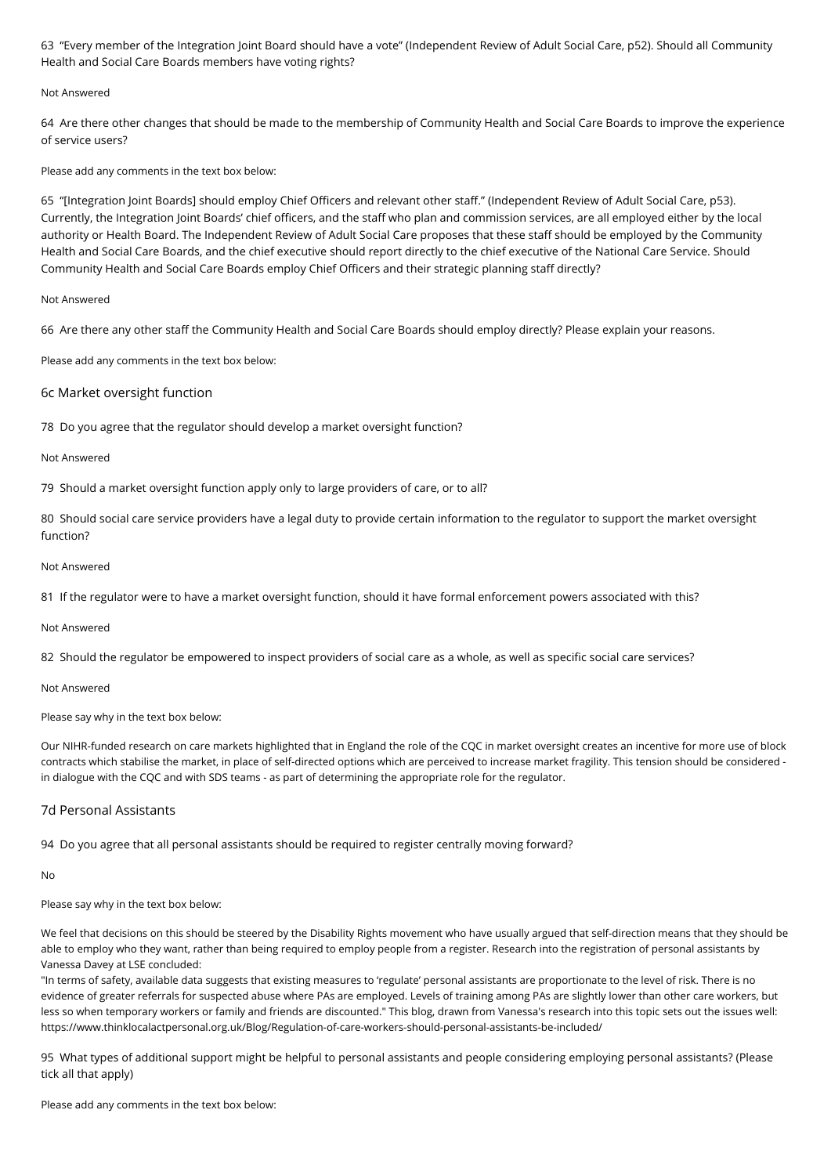63 "Every member of the Integration Joint Board should have a vote" (Independent Review of Adult Social Care, p52). Should all Community Health and Social Care Boards members have voting rights?

### Not Answered

64 Are there other changes that should be made to the membership of Community Health and Social Care Boards to improve the experience of service users?

Please add any comments in the text box below:

65 "[Integration Joint Boards] should employ Chief Officers and relevant other staff." (Independent Review of Adult Social Care, p53). Currently, the Integration Joint Boards' chief officers, and the staff who plan and commission services, are all employed either by the local authority or Health Board. The Independent Review of Adult Social Care proposes that these staff should be employed by the Community Health and Social Care Boards, and the chief executive should report directly to the chief executive of the National Care Service. Should Community Health and Social Care Boards employ Chief Officers and their strategic planning staff directly?

### Not Answered

66 Are there any other staff the Community Health and Social Care Boards should employ directly? Please explain your reasons.

Please add any comments in the text box below:

# 6c Market oversight function

78 Do you agree that the regulator should develop a market oversight function?

#### Not Answered

79 Should a market oversight function apply only to large providers of care, or to all?

80 Should social care service providers have a legal duty to provide certain information to the regulator to support the market oversight function?

#### Not Answered

81 If the regulator were to have a market oversight function, should it have formal enforcement powers associated with this?

#### Not Answered

82 Should the regulator be empowered to inspect providers of social care as a whole, as well as specific social care services?

Not Answered

Please say why in the text box below:

Our NIHR-funded research on care markets highlighted that in England the role of the CQC in market oversight creates an incentive for more use of block contracts which stabilise the market, in place of self-directed options which are perceived to increase market fragility. This tension should be considered in dialogue with the CQC and with SDS teams - as part of determining the appropriate role for the regulator.

### 7d Personal Assistants

94 Do you agree that all personal assistants should be required to register centrally moving forward?

No

### Please say why in the text box below:

We feel that decisions on this should be steered by the Disability Rights movement who have usually argued that self-direction means that they should be able to employ who they want, rather than being required to employ people from a register. Research into the registration of personal assistants by Vanessa Davey at LSE concluded:

"In terms of safety, available data suggests that existing measures to 'regulate' personal assistants are proportionate to the level of risk. There is no evidence of greater referrals for suspected abuse where PAs are employed. Levels of training among PAs are slightly lower than other care workers, but less so when temporary workers or family and friends are discounted." This blog, drawn from Vanessa's research into this topic sets out the issues well: https://www.thinklocalactpersonal.org.uk/Blog/Regulation-of-care-workers-should-personal-assistants-be-included/

95 What types of additional support might be helpful to personal assistants and people considering employing personal assistants? (Please tick all that apply)

Please add any comments in the text box below: